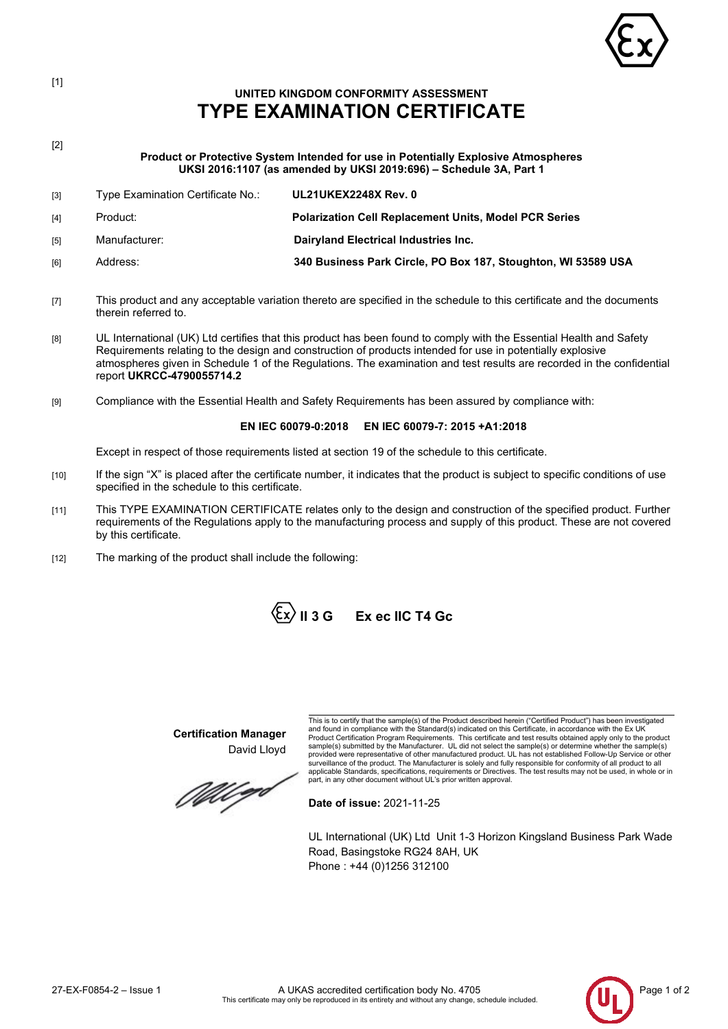

# **UNITED KINGDOM CONFORMITY ASSESSMENT TYPE EXAMINATION CERTIFICATE**

[2]

[1]

**Product or Protective System Intended for use in Potentially Explosive Atmospheres UKSI 2016:1107 (as amended by UKSI 2019:696) – Schedule 3A, Part 1**

| $\lceil 3 \rceil$ | Type Examination Certificate No.: | <b>UL21UKEX2248X Rev. 0</b>                                   |
|-------------------|-----------------------------------|---------------------------------------------------------------|
| [4]               | Product:                          | <b>Polarization Cell Replacement Units, Model PCR Series</b>  |
| [5]               | Manufacturer:                     | Dairyland Electrical Industries Inc.                          |
| f61               | Address:                          | 340 Business Park Circle, PO Box 187, Stoughton, WI 53589 USA |

- [7] This product and any acceptable variation thereto are specified in the schedule to this certificate and the documents therein referred to.
- [8] UL International (UK) Ltd certifies that this product has been found to comply with the Essential Health and Safety Requirements relating to the design and construction of products intended for use in potentially explosive atmospheres given in Schedule 1 of the Regulations. The examination and test results are recorded in the confidential report **UKRCC-4790055714.2**
- [9] Compliance with the Essential Health and Safety Requirements has been assured by compliance with:

# **EN IEC 60079-0:2018 EN IEC 60079-7: 2015 +A1:2018**

Except in respect of those requirements listed at section 19 of the schedule to this certificate.

- [10] If the sign "X" is placed after the certificate number, it indicates that the product is subject to specific conditions of use specified in the schedule to this certificate.
- [11] This TYPE EXAMINATION CERTIFICATE relates only to the design and construction of the specified product. Further requirements of the Regulations apply to the manufacturing process and supply of this product. These are not covered by this certificate.
- [12] The marking of the product shall include the following:



**Certification Manager** David Lloyd

*MU q*o

This is to certify that the sample(s) of the Product described herein ("Certified Product") has been investigated and found in compliance with the Standard(s) indicated on this Certificate, in accordance with the Ex UK<br>Product Certification Program Requirements. This certificate and test results obtained apply only to the product<br>samp surveillance of the product. The Manufacturer is solely and fully responsible for conformity of all product to all<br>applicable Standards, specifications, requirements or Directives. The test results may not be used, in whol

**Date of issue:** 2021-11-25

UL International (UK) Ltd Unit 1-3 Horizon Kingsland Business Park Wade Road, Basingstoke RG24 8AH, UK Phone : +44 (0)1256 312100